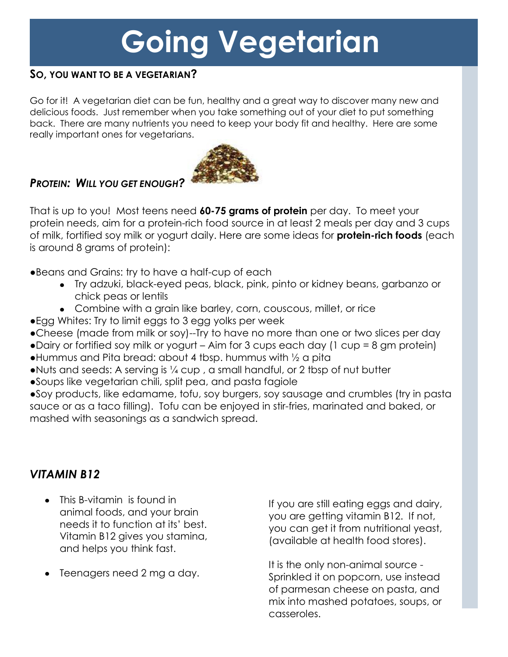# **Going Vegetarian**

#### **SO , YOU WANT TO BE A VEGETARIAN?**

Go for it! A vegetarian diet can be fun, healthy and a great way to discover many new and delicious foods. Just remember when you take something out of your diet to put something back. There are many nutrients you need to keep your body fit and healthy. Here are some really important ones for vegetarians.



## *PROTEIN: WILL YOU GET ENOUGH?*

That is up to you! Most teens need **60-75 grams of protein** per day. To meet your protein needs, aim for a protein-rich food source in at least 2 meals per day and 3 cups of milk, fortified soy milk or yogurt daily. Here are some ideas for **protein-rich foods** (each is around 8 grams of protein):

●Beans and Grains: try to have a half-cup of each

- Try adzuki, black-eyed peas, black, pink, pinto or kidney beans, garbanzo or chick peas or lentils
- Combine with a grain like barley, corn, couscous, millet, or rice
- ●Egg Whites: Try to limit eggs to 3 egg yolks per week
- ●Cheese (made from milk or soy)--Try to have no more than one or two slices per day
- ●Dairy or fortified soy milk or yogurt Aim for 3 cups each day (1 cup = 8 gm protein)
- ●Hummus and Pita bread: about 4 tbsp. hummus with ½ a pita
- ●Nuts and seeds: A serving is ¼ cup , a small handful, or 2 tbsp of nut butter
- ●Soups like vegetarian chili, split pea, and pasta fagiole

●Soy products, like edamame, tofu, soy burgers, soy sausage and crumbles (try in pasta sauce or as a taco filling). Tofu can be enjoyed in stir-fries, marinated and baked, or mashed with seasonings as a sandwich spread.

### *VITAMIN B12*

- This B-vitamin is found in animal foods, and your brain needs it to function at its' best. Vitamin B12 gives you stamina, and helps you think fast.
- Teenagers need 2 mg a day.

If you are still eating eggs and dairy, you are getting vitamin B12. If not, you can get it from nutritional yeast, (available at health food stores).

It is the only non-animal source - Sprinkled it on popcorn, use instead of parmesan cheese on pasta, and mix into mashed potatoes, soups, or casseroles.